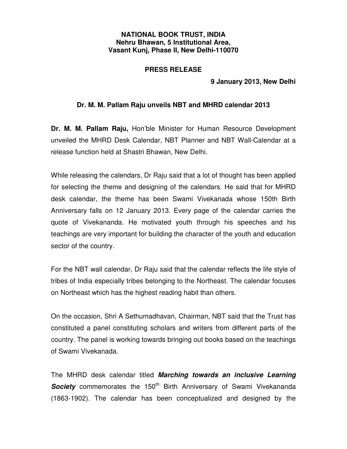## **NATIONAL BOOK TRUST, INDIA Nehru Bhawan, 5 Institutional Area, Vasant Kunj, Phase II, New Delhi-110070**

## **PRESS RELEASE**

 **9 January 2013, New Delhi** 

## **Dr. M. M. Pallam Raju unveils NBT and MHRD calendar 2013**

**Dr. M. M. Pallam Raju,** Hon'ble Minister for Human Resource Development unveiled the MHRD Desk Calendar, NBT Planner and NBT Wall-Calendar at a release function held at Shastri Bhawan, New Delhi.

While releasing the calendars, Dr Raju said that a lot of thought has been applied for selecting the theme and designing of the calendars. He said that for MHRD desk calendar, the theme has been Swami Vivekanada whose 150th Birth Anniversary falls on 12 January 2013. Every page of the calendar carries the quote of Vivekananda. He motivated youth through his speeches and his teachings are very important for building the character of the youth and education sector of the country.

For the NBT wall calendar, Dr Raju said that the calendar reflects the life style of tribes of India especially tribes belonging to the Northeast. The calendar focuses on Northeast which has the highest reading habit than others.

On the occasion, Shri A Sethumadhavan, Chairman, NBT said that the Trust has constituted a panel constituting scholars and writers from different parts of the country. The panel is working towards bringing out books based on the teachings of Swami Vivekanada.

The MHRD desk calendar titled **Marching towards an inclusive Learning Society** commemorates the 150<sup>th</sup> Birth Anniversary of Swami Vivekananda (1863-1902). The calendar has been conceptualized and designed by the